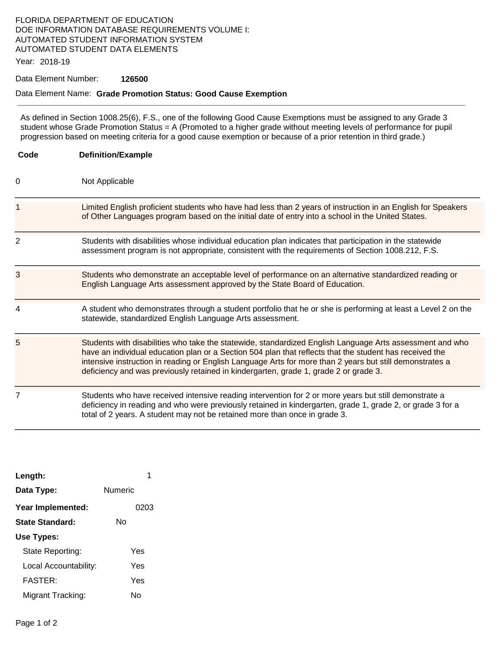### FLORIDA DEPARTMENT OF EDUCATION DOE INFORMATION DATABASE REQUIREMENTS VOLUME I: AUTOMATED STUDENT INFORMATION SYSTEM AUTOMATED STUDENT DATA ELEMENTS

Year: 2018-19

#### Data Element Number: **126500**

#### Data Element Name: **Grade Promotion Status: Good Cause Exemption**

As defined in Section 1008.25(6), F.S., one of the following Good Cause Exemptions must be assigned to any Grade 3 student whose Grade Promotion Status = A (Promoted to a higher grade without meeting levels of performance for pupil progression based on meeting criteria for a good cause exemption or because of a prior retention in third grade.)

| Code           | <b>Definition/Example</b>                                                                                                                                                                                                                                                                                                                                                                                               |  |  |
|----------------|-------------------------------------------------------------------------------------------------------------------------------------------------------------------------------------------------------------------------------------------------------------------------------------------------------------------------------------------------------------------------------------------------------------------------|--|--|
| 0              | Not Applicable                                                                                                                                                                                                                                                                                                                                                                                                          |  |  |
| 1              | Limited English proficient students who have had less than 2 years of instruction in an English for Speakers<br>of Other Languages program based on the initial date of entry into a school in the United States.                                                                                                                                                                                                       |  |  |
| $\overline{2}$ | Students with disabilities whose individual education plan indicates that participation in the statewide<br>assessment program is not appropriate, consistent with the requirements of Section 1008.212, F.S.                                                                                                                                                                                                           |  |  |
| 3              | Students who demonstrate an acceptable level of performance on an alternative standardized reading or<br>English Language Arts assessment approved by the State Board of Education.                                                                                                                                                                                                                                     |  |  |
| 4              | A student who demonstrates through a student portfolio that he or she is performing at least a Level 2 on the<br>statewide, standardized English Language Arts assessment.                                                                                                                                                                                                                                              |  |  |
| 5              | Students with disabilities who take the statewide, standardized English Language Arts assessment and who<br>have an individual education plan or a Section 504 plan that reflects that the student has received the<br>intensive instruction in reading or English Language Arts for more than 2 years but still demonstrates a<br>deficiency and was previously retained in kindergarten, grade 1, grade 2 or grade 3. |  |  |
| 7              | Students who have received intensive reading intervention for 2 or more years but still demonstrate a<br>deficiency in reading and who were previously retained in kindergarten, grade 1, grade 2, or grade 3 for a<br>total of 2 years. A student may not be retained more than once in grade 3.                                                                                                                       |  |  |

| 1       |
|---------|
| Numeric |
| 0203    |
| N٥      |
|         |
| Yes     |
| Yes     |
| Yes     |
| N٥      |
|         |